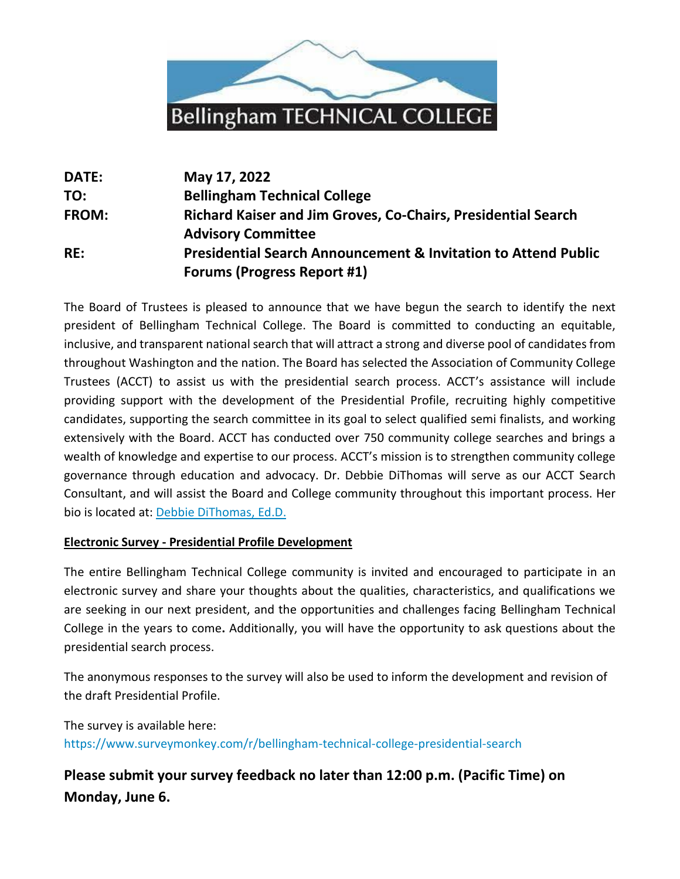

| DATE:        | May 17, 2022                                                              |
|--------------|---------------------------------------------------------------------------|
| TO:          | <b>Bellingham Technical College</b>                                       |
| <b>FROM:</b> | <b>Richard Kaiser and Jim Groves, Co-Chairs, Presidential Search</b>      |
|              | <b>Advisory Committee</b>                                                 |
| RE:          | <b>Presidential Search Announcement &amp; Invitation to Attend Public</b> |
|              | <b>Forums (Progress Report #1)</b>                                        |

The Board of Trustees is pleased to announce that we have begun the search to identify the next president of Bellingham Technical College. The Board is committed to conducting an equitable, inclusive, and transparent national search that will attract a strong and diverse pool of candidates from throughout Washington and the nation. The Board has selected the Association of Community College Trustees (ACCT) to assist us with the presidential search process. ACCT's assistance will include providing support with the development of the Presidential Profile, recruiting highly competitive candidates, supporting the search committee in its goal to select qualified semi finalists, and working extensively with the Board. ACCT has conducted over 750 community college searches and brings a wealth of knowledge and expertise to our process. ACCT's mission is to strengthen community college governance through education and advocacy. Dr. Debbie DiThomas will serve as our ACCT Search Consultant, and will assist the Board and College community throughout this important process. Her bio is located at: [Debbie DiThomas, Ed.D.](https://acctsearches.org/deborah-dithomas-ed-d/)

#### **Electronic Survey - Presidential Profile Development**

The entire Bellingham Technical College community is invited and encouraged to participate in an electronic survey and share your thoughts about the qualities, characteristics, and qualifications we are seeking in our next president, and the opportunities and challenges facing Bellingham Technical College in the years to come**.** Additionally, you will have the opportunity to ask questions about the presidential search process.

The anonymous responses to the survey will also be used to inform the development and revision of the draft Presidential Profile.

The survey is available here: <https://www.surveymonkey.com/r/bellingham-technical-college-presidential-search>

# **Please submit your survey feedback no later than 12:00 p.m. (Pacific Time) on Monday, June 6.**